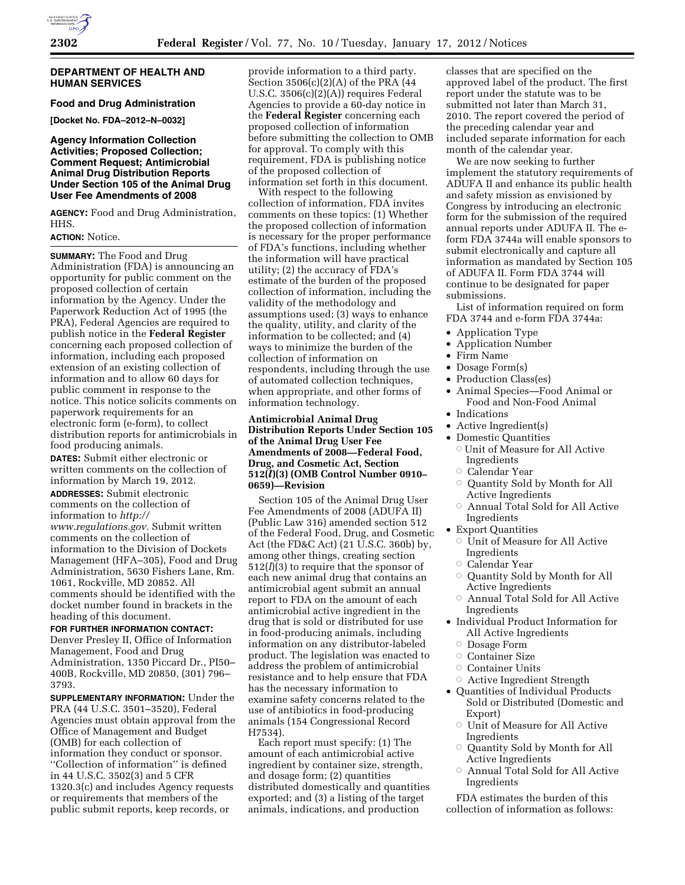#### **DEPARTMENT OF HEALTH AND HUMAN SERVICES**

### **Food and Drug Administration**

**[Docket No. FDA–2012–N–0032]** 

#### **Agency Information Collection Activities; Proposed Collection; Comment Request; Antimicrobial Animal Drug Distribution Reports Under Section 105 of the Animal Drug User Fee Amendments of 2008**

**AGENCY:** Food and Drug Administration, HHS.

## **ACTION:** Notice.

**SUMMARY:** The Food and Drug Administration (FDA) is announcing an opportunity for public comment on the proposed collection of certain information by the Agency. Under the Paperwork Reduction Act of 1995 (the PRA), Federal Agencies are required to publish notice in the **Federal Register**  concerning each proposed collection of information, including each proposed extension of an existing collection of information and to allow 60 days for public comment in response to the notice. This notice solicits comments on paperwork requirements for an electronic form (e-form), to collect distribution reports for antimicrobials in food producing animals.

**DATES:** Submit either electronic or written comments on the collection of information by March 19, 2012. **ADDRESSES:** Submit electronic

comments on the collection of information to *[http://](http://www.regulations.gov) [www.regulations.gov.](http://www.regulations.gov)* Submit written comments on the collection of information to the Division of Dockets

Management (HFA–305), Food and Drug Administration, 5630 Fishers Lane, Rm. 1061, Rockville, MD 20852. All comments should be identified with the docket number found in brackets in the heading of this document.

# **FOR FURTHER INFORMATION CONTACT:**

Denver Presley II, Office of Information Management, Food and Drug Administration, 1350 Piccard Dr., PI50– 400B, Rockville, MD 20850, (301) 796– 3793.

**SUPPLEMENTARY INFORMATION:** Under the PRA (44 U.S.C. 3501–3520), Federal Agencies must obtain approval from the Office of Management and Budget (OMB) for each collection of information they conduct or sponsor. ''Collection of information'' is defined in 44 U.S.C. 3502(3) and 5 CFR 1320.3(c) and includes Agency requests or requirements that members of the public submit reports, keep records, or

provide information to a third party. Section 3506(c)(2)(A) of the PRA (44 U.S.C. 3506(c)(2)(A)) requires Federal Agencies to provide a 60-day notice in the **Federal Register** concerning each proposed collection of information before submitting the collection to OMB for approval. To comply with this requirement, FDA is publishing notice of the proposed collection of information set forth in this document.

With respect to the following collection of information, FDA invites comments on these topics: (1) Whether the proposed collection of information is necessary for the proper performance of FDA's functions, including whether the information will have practical utility; (2) the accuracy of FDA's estimate of the burden of the proposed collection of information, including the validity of the methodology and assumptions used; (3) ways to enhance the quality, utility, and clarity of the information to be collected; and (4) ways to minimize the burden of the collection of information on respondents, including through the use of automated collection techniques, when appropriate, and other forms of information technology.

**Antimicrobial Animal Drug Distribution Reports Under Section 105 of the Animal Drug User Fee Amendments of 2008—Federal Food, Drug, and Cosmetic Act, Section 512(***l***)(3) (OMB Control Number 0910– 0659)—Revision** 

Section 105 of the Animal Drug User Fee Amendments of 2008 (ADUFA II) (Public Law 316) amended section 512 of the Federal Food, Drug, and Cosmetic Act (the FD&C Act) (21 U.S.C. 360b) by, among other things, creating section 512(*l*)(3) to require that the sponsor of each new animal drug that contains an antimicrobial agent submit an annual report to FDA on the amount of each antimicrobial active ingredient in the drug that is sold or distributed for use in food-producing animals, including information on any distributor-labeled product. The legislation was enacted to address the problem of antimicrobial resistance and to help ensure that FDA has the necessary information to examine safety concerns related to the use of antibiotics in food-producing animals (154 Congressional Record H7534).

Each report must specify: (1) The amount of each antimicrobial active ingredient by container size, strength, and dosage form; (2) quantities distributed domestically and quantities exported; and (3) a listing of the target animals, indications, and production

classes that are specified on the approved label of the product. The first report under the statute was to be submitted not later than March 31, 2010. The report covered the period of the preceding calendar year and included separate information for each month of the calendar year.

We are now seeking to further implement the statutory requirements of ADUFA II and enhance its public health and safety mission as envisioned by Congress by introducing an electronic form for the submission of the required annual reports under ADUFA II. The eform FDA 3744a will enable sponsors to submit electronically and capture all information as mandated by Section 105 of ADUFA II. Form FDA 3744 will continue to be designated for paper submissions.

List of information required on form FDA 3744 and e-form FDA 3744a:

- Application Type
- Application Number
- Firm Name
- Dosage Form(s)
- Production Class(es)
- Animal Species—Food Animal or Food and Non-Food Animal
- Indications
- Active Ingredient(s)
- Domestic Quantities
	- O Unit of Measure for All Active Ingredients
	- Æ Calendar Year
	- Æ Quantity Sold by Month for All Active Ingredients
	- $\circ$  Annual Total Sold for All Active Ingredients
- Export Quantities
	- $\circ$  Unit of Measure for All Active Ingredients
	- Æ Calendar Year
	- Æ Quantity Sold by Month for All Active Ingredients
	- $\circ$  Annual Total Sold for All Active Ingredients
- Individual Product Information for All Active Ingredients
	- Dosage Form
	- Æ Container Size
	- $\circ$  Container Units
	- $\circ$  Active Ingredient Strength
- Quantities of Individual Products Sold or Distributed (Domestic and Export)
	- Unit of Measure for All Active Ingredients
	- Æ Quantity Sold by Month for All Active Ingredients
	- $\circ$  Annual Total Sold for All Active Ingredients

FDA estimates the burden of this collection of information as follows: